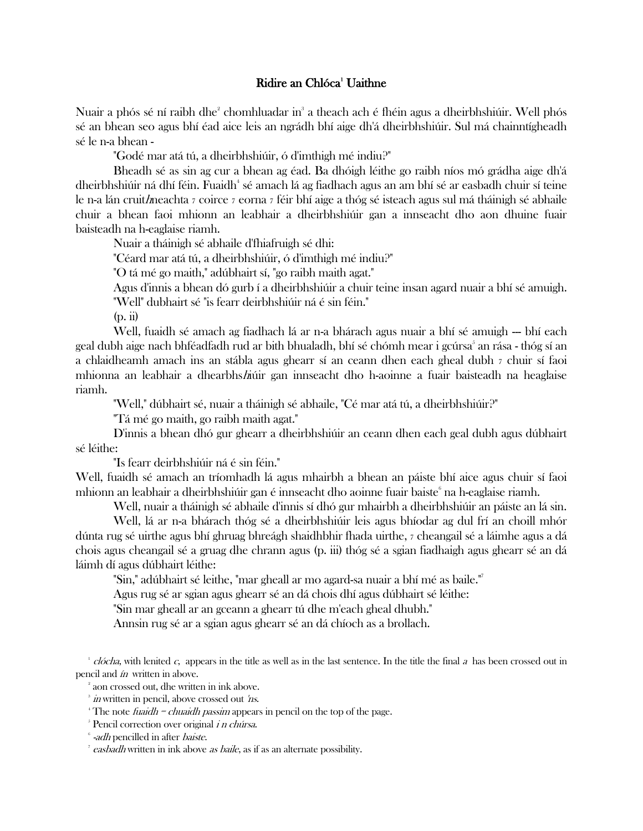## **Ridire an Chlóca**<sup>1</sup> Uaithne

Nuair a phós sé ní raibh dhe $^2$  chomhluadar in $^{\circ}$  a theach ach é fhéin agus a dheirbhshiúir. Well phós sé an bhean seo agus bhí éad aice leis an ngrádh bhí aige dh'á dheirbhshiúir. Sul má chainntígheadh sé le n-a bhean -

"Godé mar atá tú, a dheirbhshiúir, ó d'imthigh mé indiu?"

Bheadh sé as sin ag cur a bhean ag éad. Ba dhóigh léithe go raibh níos mó grádha aige dh'á dheirbhshiúir ná dhí féin. Fuaidh $^{\circ}$  sé amach lá ag fiadhach agus an am bhí sé ar easbadh chuir sí teine le n-a lán cruithneachta <sup>7</sup> coirce <sup>7</sup> eorna <sup>7</sup> féir bhí aige a thóg sé isteach agus sul má tháinigh sé abhaile chuir a bhean faoi mhionn an leabhair a dheirbhshiúir gan a innseacht dho aon dhuine fuair baisteadh na h-eaglaise riamh.

Nuair a tháinigh sé abhaile d'fhiafruigh sé dhi:

"Céard mar atá tú, a dheirbhshiúir, ó d'imthigh mé indiu?"

"O tá mé go maith," adúbhairt sí, "go raibh maith agat."

Agus d'innis a bhean dó gurb í a dheirbhshiúir a chuir teine insan agard nuair a bhí sé amuigh.

"Well" dubhairt sé "is fearr deirbhshiúir ná é sin féin."

(p. ii)

Well, fuaidh sé amach ag fiadhach lá ar n-a bhárach agus nuair a bhí sé amuigh — bhí each geal dubh aige nach bhféadfadh rud ar bith bhualadh, bhí sé chómh mear i gcúrsa $^{\circ}$  an rása - thóg sí an a chlaidheamh amach ins an stábla agus ghearr sí an ceann dhen each gheal dubh <sup>7</sup> chuir sí faoi mhionna an leabhair a dhearbhshiúir gan innseacht dho h-aoinne a fuair baisteadh na heaglaise riamh.

"Well," dúbhairt sé, nuair a tháinigh sé abhaile, "Cé mar atá tú, a dheirbhshiúir?"

"Tá mé go maith, go raibh maith agat."

D'innis a bhean dhó gur ghearr a dheirbhshiúir an ceann dhen each geal dubh agus dúbhairt sé léithe:

"Is fearr deirbhshiúir ná é sin féin."

Well, fuaidh sé amach an tríomhadh lá agus mhairbh a bhean an páiste bhí aice agus chuir sí faoi mhionn an leabhair a dheirbhshiúir gan é innseacht dho aoinne fuair baiste $^{\circ}$ na h-eaglaise riamh.

Well, nuair a tháinigh sé abhaile d'innis sí dhó gur mhairbh a dheirbhshiúir an páiste an lá sin.

Well, lá ar n-a bhárach thóg sé a dheirbhshiúir leis agus bhíodar ag dul frí an choill mhór dúnta rug sé uirthe agus bhí ghruag bhreágh shaidhbhir fhada uirthe, <sup>7</sup> cheangail sé a láimhe agus a dá chois agus cheangail sé a gruag dhe chrann agus (p. iii) thóg sé a sgian fiadhaigh agus ghearr sé an dá láimh dí agus dúbhairt léithe:

"Sin," adúbhairt sé leithe, "mar gheall ar mo agard-sa nuair a bhí mé as baile."<sup>7</sup>

Agus rug sé ar sgian agus ghearr sé an dá chois dhí agus dúbhairt sé léithe:

"Sin mar gheall ar an gceann a ghearr tú dhe m'each gheal dhubh."

Annsin rug sé ar a sgian agus ghearr sé an dá chíoch as a brollach.

clócha, with lenited c, appears in the title as well as in the last sentence. In the title the final a has been crossed out in pencil and ín written in above.

2 aon crossed out, dhe written in ink above.

<sup>&</sup>lt;sup>3</sup> in written in pencil, above crossed out 'ns.

<sup>&</sup>lt;sup>4</sup> The note *fuaidh = chuaidh passim* appears in pencil on the top of the page.

<sup>&</sup>lt;sup>5</sup> Pencil correction over original *i n chúrsa*.

<sup>&</sup>lt;sup>6</sup> -adh pencilled in after baiste.

<sup>&</sup>lt;sup>7</sup> easbadh written in ink above as baile, as if as an alternate possibility.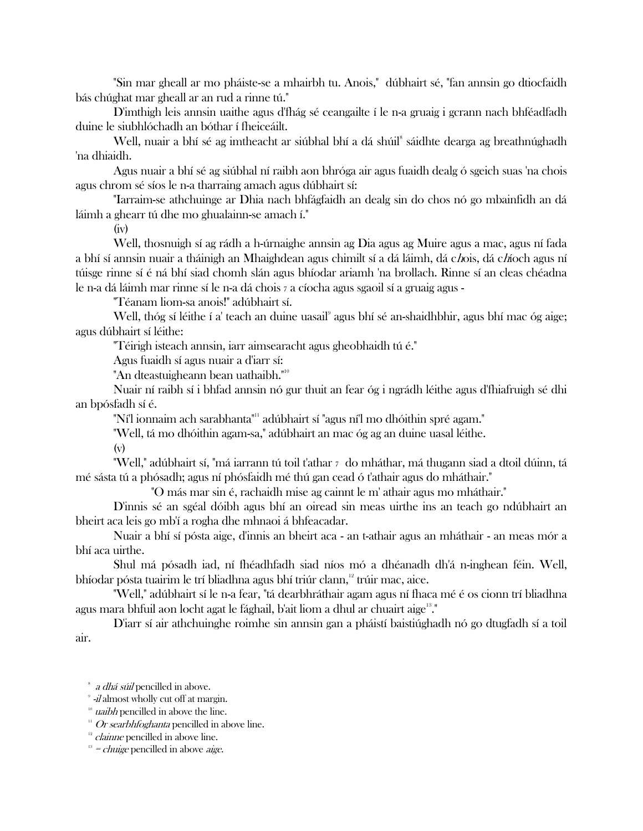"Sin mar gheall ar mo pháiste-se a mhairbh tu. Anois," dúbhairt sé, "fan annsin go dtiocfaidh bás chúghat mar gheall ar an rud a rinne tú."

D'imthigh leis annsin uaithe agus d'fhág sé ceangailte í le n-a gruaig i gcrann nach bhféadfadh duine le siubhlóchadh an bóthar í fheiceáilt.

Well, nuair a bhí sé ag imtheacht ar siúbhal bhí a dá shúil<sup>s</sup> sáidhte dearga ag breathnúghadh 'na dhiaidh.

Agus nuair a bhí sé ag siúbhal ní raibh aon bhróga air agus fuaidh dealg ó sgeich suas 'na chois agus chrom sé síos le n-a tharraing amach agus dúbhairt sí:

"Iarraim-se athchuinge ar Dhia nach bhfágfaidh an dealg sin do chos nó go mbainfidh an dá láimh a ghearr tú dhe mo ghualainn-se amach í."

(iv)

Well, thosnuigh sí ag rádh a h-úrnaighe annsin ag Dia agus ag Muire agus a mac, agus ní fada a bhí sí annsin nuair a tháinigh an Mhaighdean agus chimilt sí a dá láimh, dá chois, dá chíoch agus ní túisge rinne sí é ná bhí siad chomh slán agus bhíodar ariamh 'na brollach. Rinne sí an cleas chéadna le n-a dá láimh mar rinne sí le n-a dá chois <sup>7</sup> a cíocha agus sgaoil sí a gruaig agus -

"Téanam liom-sa anois!" adúbhairt sí.

Well, thóg sí léithe í a' teach an duine uasail<sup>9</sup> agus bhí sé an-shaidhbhir, agus bhí mac óg aige; agus dúbhairt sí léithe:

"Téirigh isteach annsin, iarr aimsearacht agus gheobhaidh tú é."

Agus fuaidh sí agus nuair a d'iarr sí:

"An dteastuigheann bean uathaibh."<sup>10</sup>

Nuair ní raibh sí i bhfad annsin nó gur thuit an fear óg i ngrádh léithe agus d'fhiafruigh sé dhi an bpósfadh sí é.

"Ní'l ionnaim ach sarabhanta"<sup>11</sup> adúbhairt sí "agus ní'l mo dhóithin spré agam."

"Well, tá mo dhóithin agam-sa," adúbhairt an mac óg ag an duine uasal léithe.

(v)

"Well," adúbhairt sí, "má iarrann tú toil t'athar 7 do mháthar, má thugann siad a dtoil dúinn, tá mé sásta tú a phósadh; agus ní phósfaidh mé thú gan cead ó t'athair agus do mháthair."

"O más mar sin é, rachaidh mise ag cainnt le m' athair agus mo mháthair."

D'innis sé an sgéal dóibh agus bhí an oiread sin meas uirthe ins an teach go ndúbhairt an bheirt aca leis go mb'í a rogha dhe mhnaoi á bhfeacadar.

Nuair a bhí sí pósta aige, d'innis an bheirt aca - an t-athair agus an mháthair - an meas mór a bhí aca uirthe.

Shul má pósadh iad, ní fhéadhfadh siad níos mó a dhéanadh dh'á n-inghean féin. Well, bhíodar pósta tuairim le trí bliadhna agus bhí triúr clann,<sup>12</sup> trúir mac, aice.

"Well," adúbhairt sí le n-a fear, "tá dearbhráthair agam agus ní fhaca mé é os cionn trí bliadhna agus mara bhfuil aon locht agat le fághail, b'ait liom a dhul ar chuairt aige<sup>13</sup>."

D'iarr sí air athchuinghe roimhe sin annsin gan a pháistí baistiúghadh nó go dtugfadh sí a toil air.

<sup>8</sup> a dhá súil pencilled in above.

<sup>&</sup>lt;sup>9</sup> -*il* almost wholly cut off at margin.

 $10$  uaibh pencilled in above the line.

 $11$  Or searbhfoghanta pencilled in above line.

 $12$  *clainne* pencilled in above line.

 $13$  = *chuige* pencilled in above *aige*.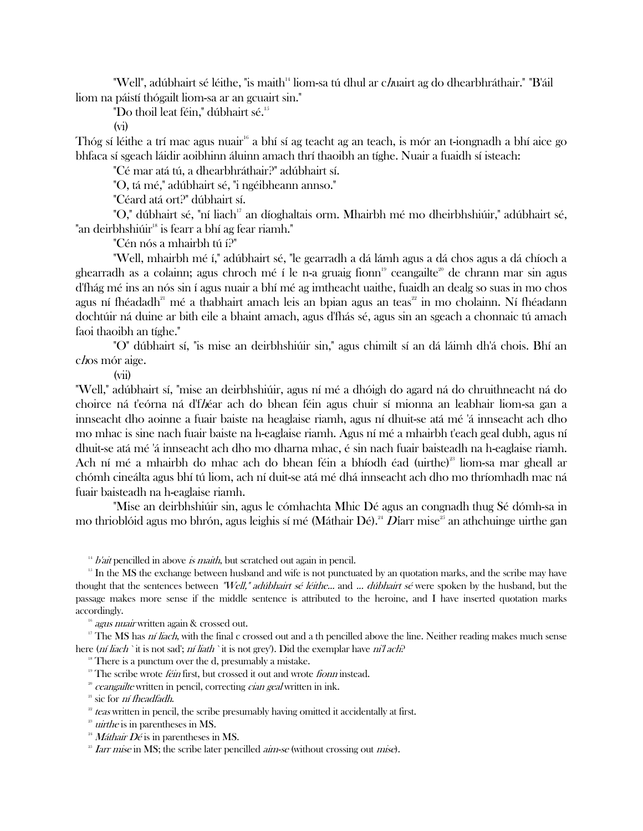"Well", adúbhairt sé léithe, "is maith<sup>14</sup> liom-sa tú dhul ar c*h*uairt ag do dhearbhráthair." "B'áil liom na páistí thógailt liom-sa ar an gcuairt sin."

"Do thoil leat féin," dúbhairt sé.<sup>15</sup>

(vi)

Thóg sí léithe a trí mac agus nuair<sup>16</sup> a bhí sí ag teacht ag an teach, is mór an t-iongnadh a bhí aice go bhfaca sí sgeach láidir aoibhinn áluinn amach thrí thaoibh an tíghe. Nuair a fuaidh sí isteach:

"Cé mar atá tú, a dhearbhráthair?" adúbhairt sí.

"O, tá mé," adúbhairt sé, "i ngéibheann annso."

"Céard atá ort?" dúbhairt sí.

"O," dúbhairt sé, "ní liach<sup>17</sup> an díoghaltais orm. Mhairbh mé mo dheirbhshiúir," adúbhairt sé, "an deirbhshiúir<sup>18</sup> is fearr a bhí ag fear riamh."

"Cén nós a mhairbh tú í?"

"Well, mhairbh mé í," adúbhairt sé, "le gearradh a dá lámh agus a dá chos agus a dá chíoch a ghearradh as a colainn; agus chroch mé í le n-a gruaig fionn<sup>19</sup> ceangailte<sup>20</sup> de chrann mar sin agus d'fhág mé ins an nós sin í agus nuair a bhí mé ag imtheacht uaithe, fuaidh an dealg so suas in mo chos agus ní fhéadadh<sup>21</sup> mé a thabhairt amach leis an bpian agus an teas<sup>22</sup> in mo cholainn. Ní fhéadann dochtúir ná duine ar bith eile a bhaint amach, agus d'fhás sé, agus sin an sgeach a chonnaic tú amach faoi thaoibh an tíghe."

"O" dúbhairt sí, "is mise an deirbhshiúir sin," agus chimilt sí an dá láimh dh'á chois. Bhí an chos mór aige.

(vii)

"Well," adúbhairt sí, "mise an deirbhshiúir, agus ní mé a dhóigh do agard ná do chruithneacht ná do choirce ná t'eórna ná d'fhéar ach do bhean féin agus chuir sí mionna an leabhair liom-sa gan a innseacht dho aoinne a fuair baiste na heaglaise riamh, agus ní dhuit-se atá mé 'á innseacht ach dho mo mhac is sine nach fuair baiste na h-eaglaise riamh. Agus ní mé a mhairbh t'each geal dubh, agus ní dhuit-se atá mé 'á innseacht ach dho mo dharna mhac, é sin nach fuair baisteadh na h-eaglaise riamh. Ach ní mé a mhairbh do mhac ach do bhean féin a bhíodh éad (uirthe)<sup>23</sup> liom-sa mar gheall ar chómh cineálta agus bhí tú liom, ach ní duit-se atá mé dhá innseacht ach dho mo thríomhadh mac ná fuair baisteadh na h-eaglaise riamh.

"Mise an deirbhshiúir sin, agus le cómhachta Mhic Dé agus an congnadh thug Sé dómh-sa in mo thrioblóid agus mo bhrón, agus leighis sí mé (Máthair Dé).<sup>24</sup> Díarr mise<sup>25</sup> an athchuinge uirthe gan

 $14$  *b'ait* pencilled in above *is maith*, but scratched out again in pencil.

<sup>15</sup> In the MS the exchange between husband and wife is not punctuated by an quotation marks, and the scribe may have thought that the sentences between "Well," adúbhairt sé léithe... and ... dúbhairt sé were spoken by the husband, but the passage makes more sense if the middle sentence is attributed to the heroine, and I have inserted quotation marks accordingly.

agus nuair written again & crossed out.

<sup>17</sup> The MS has *ní liach*, with the final c crossed out and a th pencilled above the line. Neither reading makes much sense here (*ní liach* `it is not sad'; *ní liath* `it is not grey'). Did the exemplar have *ni'l ach*?

 $18$  There is a punctum over the d, presumably a mistake.

<sup>19</sup> The scribe wrote *féin* first, but crossed it out and wrote *fionn* instead.

 $\alpha$  ceangailte written in pencil, correcting *cian geal* written in ink.

 $21$  sic for *ní fheadfadh*.

 $2<sup>2</sup>$  teas written in pencil, the scribe presumably having omitted it accidentally at first.

 $2<sup>3</sup>$  *uirthe* is in parentheses in MS.

<sup>24</sup> *Máthair Dé* is in parentheses in MS.

 $25$  *Iarr mise* in MS; the scribe later pencilled *aim-se* (without crossing out *mise*).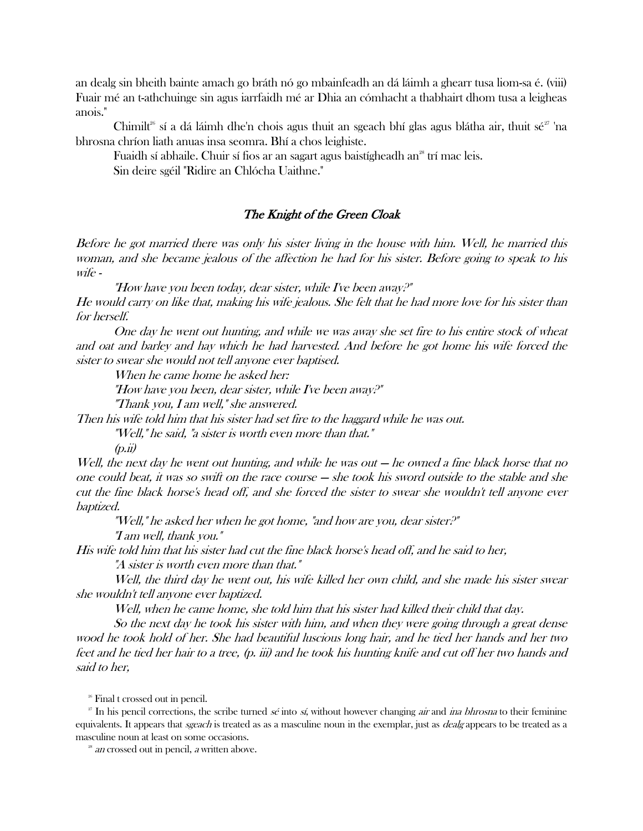an dealg sin bheith bainte amach go bráth nó go mbainfeadh an dá láimh a ghearr tusa liom-sa é. (viii) Fuair mé an t-athchuinge sin agus iarrfaidh mé ar Dhia an cómhacht a thabhairt dhom tusa a leigheas anois."

Chimilt<sup>26</sup> sí a dá láimh dhe'n chois agus thuit an sgeach bhí glas agus blátha air, thuit sé<sup>27</sup> 'na bhrosna chríon liath anuas insa seomra. Bhí a chos leighiste.

Fuaidh sí abhaile. Chuir sí fios ar an sagart agus baistígheadh an<sup>28</sup> trí mac leis.

Sin deire sgéil "Ridire an Chlócha Uaithne."

## The Knight of the Green Cloak

Before he got married there was only his sister living in the house with him. Well, he married this woman, and she became jealous of the affection he had for his sister. Before going to speak to his wife -

"How have you been today, dear sister, while I've been away?"

He would carry on like that, making his wife jealous. She felt that he had more love for his sister than for herself.

One day he went out hunting, and while we was away she set fire to his entire stock of wheat and oat and barley and hay which he had harvested. And before he got home his wife forced the sister to swear she would not tell anyone ever baptised.

When he came home he asked her:

"How have you been, dear sister, while I've been away?"

"Thank you, I am well," she answered.

Then his wife told him that his sister had set fire to the haggard while he was out.

"Well," he said, "a sister is worth even more than that."

 $(p.\ddot{u})$ 

Well, the next day he went out hunting, and while he was out — he owned a fine black horse that no one could beat, it was so swift on the race course — she took his sword outside to the stable and she cut the fine black horse's head off, and she forced the sister to swear she wouldn't tell anyone ever baptized.

"Well," he asked her when he got home, "and how are you, dear sister?"

"I am well, thank you."

His wife told him that his sister had cut the fine black horse's head off, and he said to her, "A sister is worth even more than that."

Well, the third day he went out, his wife killed her own child, and she made his sister swear she wouldn't tell anyone ever baptized.

Well, when he came home, she told him that his sister had killed their child that day.

So the next day he took his sister with him, and when they were going through a great dense wood he took hold of her. She had beautiful luscious long hair, and he tied her hands and her two feet and he tied her hair to a tree, (p. iii) and he took his hunting knife and cut off her two hands and said to her,

<sup>26</sup> Final t crossed out in pencil.

<sup>27</sup> In his pencil corrections, the scribe turned sé into sí, without however changing *air* and *ina bhrosna* to their feminine equivalents. It appears that *sgeach* is treated as as a masculine noun in the exemplar, just as *dealg* appears to be treated as a masculine noun at least on some occasions.

<sup>28</sup> an crossed out in pencil, a written above.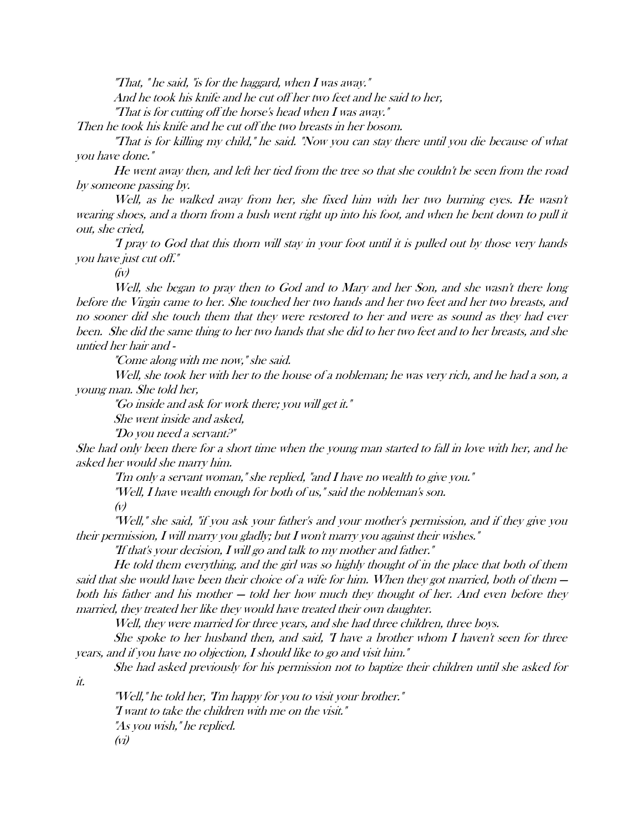"That, " he said, "is for the haggard, when I was away."

And he took his knife and he cut off her two feet and he said to her,

"That is for cutting off the horse's head when I was away."

Then he took his knife and he cut off the two breasts in her bosom.

"That is for killing my child," he said. "Now you can stay there until you die because of what you have done."

He went away then, and left her tied from the tree so that she couldn't be seen from the road by someone passing by.

Well, as he walked away from her, she fixed him with her two burning eyes. He wasn't wearing shoes, and a thorn from a bush went right up into his foot, and when he bent down to pull it out, she cried,

"I pray to God that this thorn will stay in your foot until it is pulled out by those very hands you have just cut off."

 $(iv)$ 

Well, she began to pray then to God and to Mary and her Son, and she wasn't there long before the Virgin came to her. She touched her two hands and her two feet and her two breasts, and no sooner did she touch them that they were restored to her and were as sound as they had ever been. She did the same thing to her two hands that she did to her two feet and to her breasts, and she untied her hair and -

"Come along with me now," she said.

Well, she took her with her to the house of a nobleman; he was very rich, and he had a son, a young man. She told her,

"Go inside and ask for work there; you will get it."

She went inside and asked,

"Do you need a servant?"

She had only been there for a short time when the young man started to fall in love with her, and he asked her would she marry him.

"I'm only a servant woman," she replied, "and I have no wealth to give you."

"Well, I have wealth enough for both of us," said the nobleman's son.

(v)

"Well," she said, "if you ask your father's and your mother's permission, and if they give you their permission, I will marry you gladly; but I won't marry you against their wishes."

"If that's your decision, I will go and talk to my mother and father."

He told them everything, and the girl was so highly thought of in the place that both of them said that she would have been their choice of a wife for him. When they got married, both of them  $$ both his father and his mother — told her how much they thought of her. And even before they married, they treated her like they would have treated their own daughter.

Well, they were married for three years, and she had three children, three boys.

She spoke to her husband then, and said, "I have a brother whom I haven't seen for three years, and if you have no objection, I should like to go and visit him."

She had asked previously for his permission not to baptize their children until she asked for

it.

"Well," he told her, "I'm happy for you to visit your brother." "I want to take the children with me on the visit." "As you wish," he replied. (vi)